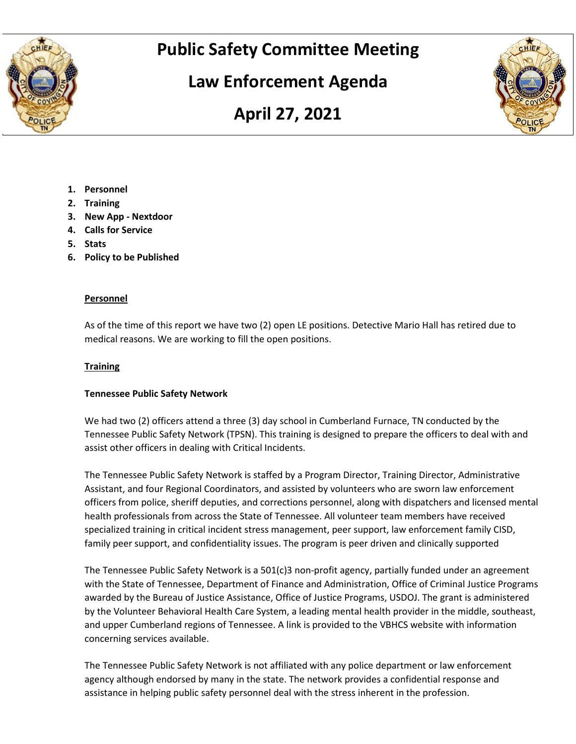

# **Public Safety Committee Meeting**

# **Law Enforcement Agenda**





- **1. Personnel**
- **2. Training**
- **3. New App - Nextdoor**
- **4. Calls for Service**
- **5. Stats**
- **6. Policy to be Published**

#### **Personnel**

As of the time of this report we have two (2) open LE positions. Detective Mario Hall has retired due to medical reasons. We are working to fill the open positions.

## **Training**

## **Tennessee Public Safety Network**

We had two (2) officers attend a three (3) day school in Cumberland Furnace, TN conducted by the Tennessee Public Safety Network (TPSN). This training is designed to prepare the officers to deal with and assist other officers in dealing with Critical Incidents.

The Tennessee Public Safety Network is staffed by a Program Director, Training Director, Administrative Assistant, and four Regional Coordinators, and assisted by volunteers who are sworn law enforcement officers from police, sheriff deputies, and corrections personnel, along with dispatchers and licensed mental health professionals from across the State of Tennessee. All volunteer team members have received specialized training in critical incident stress management, peer support, law enforcement family CISD, family peer support, and confidentiality issues. The program is peer driven and clinically supported

The Tennessee Public Safety Network is a 501(c)3 non-profit agency, partially funded under an agreement with the State of Tennessee, Department of Finance and Administration, Office of Criminal Justice Programs awarded by the Bureau of Justice Assistance, Office of Justice Programs, USDOJ. The grant is administered by the Volunteer Behavioral Health Care System, a leading mental health provider in the middle, southeast, and upper Cumberland regions of Tennessee. A link is provided to the VBHCS website with information concerning services available.

The Tennessee Public Safety Network is not affiliated with any police department or law enforcement agency although endorsed by many in the state. The network provides a confidential response and assistance in helping public safety personnel deal with the stress inherent in the profession.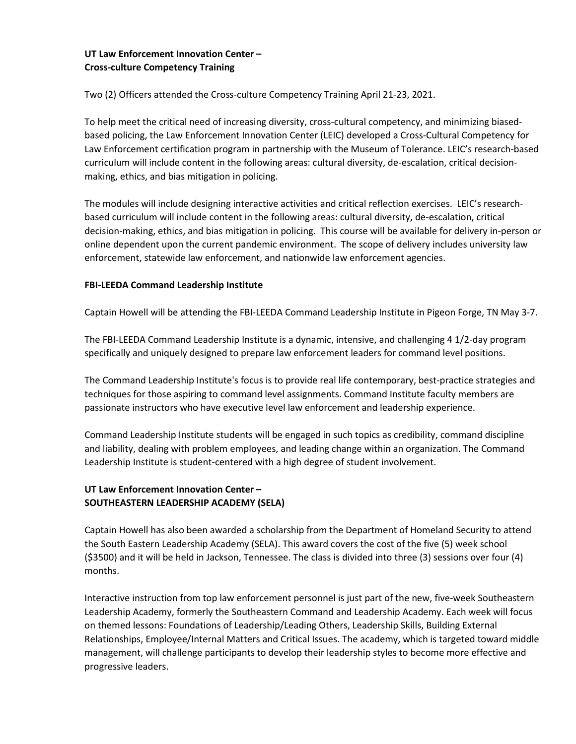# **UT Law Enforcement Innovation Center – Cross-culture Competency Training**

Two (2) Officers attended the Cross-culture Competency Training April 21-23, 2021.

To help meet the critical need of increasing diversity, cross-cultural competency, and minimizing biasedbased policing, the Law Enforcement Innovation Center (LEIC) developed a Cross-Cultural Competency for Law Enforcement certification program in partnership with the Museum of Tolerance. LEIC's research-based curriculum will include content in the following areas: cultural diversity, de-escalation, critical decisionmaking, ethics, and bias mitigation in policing.

The modules will include designing interactive activities and critical reflection exercises. LEIC's researchbased curriculum will include content in the following areas: cultural diversity, de-escalation, critical decision-making, ethics, and bias mitigation in policing. This course will be available for delivery in-person or online dependent upon the current pandemic environment. The scope of delivery includes university law enforcement, statewide law enforcement, and nationwide law enforcement agencies.

### **FBI-LEEDA Command Leadership Institute**

Captain Howell will be attending the FBI-LEEDA Command Leadership Institute in Pigeon Forge, TN May 3-7.

The FBI-LEEDA Command Leadership Institute is a dynamic, intensive, and challenging 4 1/2-day program specifically and uniquely designed to prepare law enforcement leaders for command level positions.

The Command Leadership Institute's focus is to provide real life contemporary, best-practice strategies and techniques for those aspiring to command level assignments. Command Institute faculty members are passionate instructors who have executive level law enforcement and leadership experience.

Command Leadership Institute students will be engaged in such topics as credibility, command discipline and liability, dealing with problem employees, and leading change within an organization. The Command Leadership Institute is student-centered with a high degree of student involvement.

# **UT Law Enforcement Innovation Center – SOUTHEASTERN LEADERSHIP ACADEMY (SELA)**

Captain Howell has also been awarded a scholarship from the Department of Homeland Security to attend the South Eastern Leadership Academy (SELA). This award covers the cost of the five (5) week school (\$3500) and it will be held in Jackson, Tennessee. The class is divided into three (3) sessions over four (4) months.

Interactive instruction from top law enforcement personnel is just part of the new, five-week Southeastern Leadership Academy, formerly the Southeastern Command and Leadership Academy. Each week will focus on themed lessons: Foundations of Leadership/Leading Others, Leadership Skills, Building External Relationships, Employee/Internal Matters and Critical Issues. The academy, which is targeted toward middle management, will challenge participants to develop their leadership styles to become more effective and progressive leaders.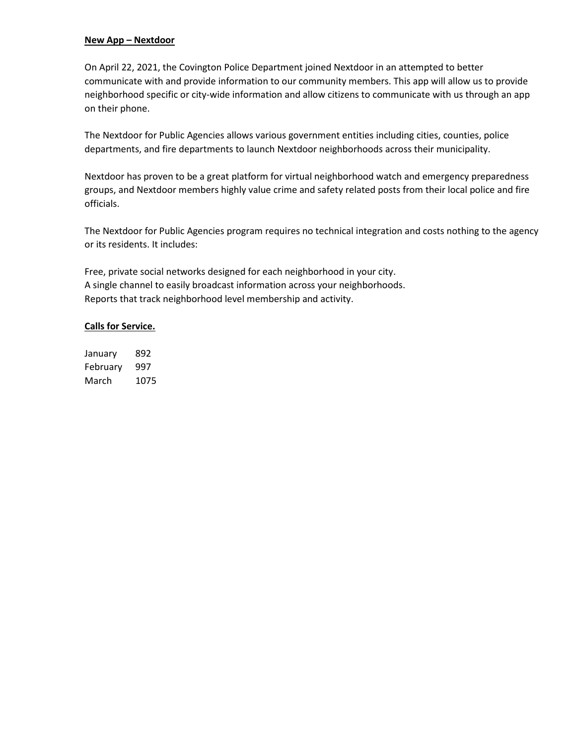#### **New App – Nextdoor**

On April 22, 2021, the Covington Police Department joined Nextdoor in an attempted to better communicate with and provide information to our community members. This app will allow us to provide neighborhood specific or city-wide information and allow citizens to communicate with us through an app on their phone.

The Nextdoor for Public Agencies allows various government entities including cities, counties, police departments, and fire departments to launch Nextdoor neighborhoods across their municipality.

Nextdoor has proven to be a great platform for virtual neighborhood watch and emergency preparedness groups, and Nextdoor members highly value crime and safety related posts from their local police and fire officials.

The Nextdoor for Public Agencies program requires no technical integration and costs nothing to the agency or its residents. It includes:

Free, private social networks designed for each neighborhood in your city. A single channel to easily broadcast information across your neighborhoods. Reports that track neighborhood level membership and activity.

#### **Calls for Service.**

January 892 February 997 March 1075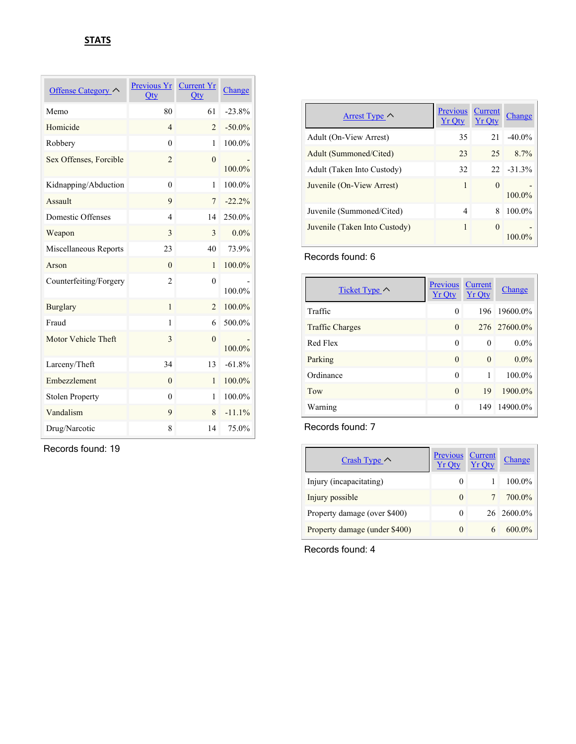| Offense Category       | Previous Yr<br>Qty | <b>Current Yr</b><br>Qty | Change    |
|------------------------|--------------------|--------------------------|-----------|
| Memo                   | 80                 | 61                       | $-23.8%$  |
| Homicide               | $\overline{4}$     | $\overline{2}$           | $-50.0\%$ |
| Robbery                | $\theta$           | 1                        | 100.0%    |
| Sex Offenses, Forcible | $\overline{2}$     | $\theta$                 | 100.0%    |
| Kidnapping/Abduction   | $\theta$           | 1                        | 100.0%    |
| Assault                | 9                  | $\overline{7}$           | $-22.2%$  |
| Domestic Offenses      | $\overline{4}$     | 14                       | 250.0%    |
| Weapon                 | 3                  | 3                        | $0.0\%$   |
| Miscellaneous Reports  | 23                 | 40                       | 73.9%     |
| Arson                  | $\theta$           | $\mathbf{1}$             | 100.0%    |
| Counterfeiting/Forgery | $\overline{2}$     | $\theta$                 | 100.0%    |
| <b>Burglary</b>        | $\mathbf{1}$       | $\overline{2}$           | 100.0%    |
| Fraud                  | 1                  | 6                        | 500.0%    |
| Motor Vehicle Theft    | 3                  | $\theta$                 | 100.0%    |
| Larceny/Theft          | 34                 | 13                       | $-61.8%$  |
| Embezzlement           | $\theta$           | $\mathbf{1}$             | 100.0%    |
| <b>Stolen Property</b> | $\theta$           | 1                        | 100.0%    |
| Vandalism              | 9                  | 8                        | $-11.1%$  |
| Drug/Narcotic          | 8                  | 14                       | 75.0%     |

Records found: 19

| Arrest Type $\wedge$          | <b>Previous</b><br>$Yr$ Otv | Current<br><b>Yr Otv</b> | Change    |
|-------------------------------|-----------------------------|--------------------------|-----------|
| Adult (On-View Arrest)        | 35                          | 21                       | $-40.0\%$ |
| Adult (Summoned/Cited)        | 23                          | 25                       | $8.7\%$   |
| Adult (Taken Into Custody)    | 32                          | $22 -$                   | $-31.3%$  |
| Juvenile (On-View Arrest)     | 1                           | $\Omega$                 | 100.0%    |
| Juvenile (Summoned/Cited)     | 4                           | 8                        | 100.0%    |
| Juvenile (Taken Into Custody) | 1                           | $\theta$                 |           |

Records found: 6

| Ticket Type $\sim$     | Previous<br><b>Yr Oty</b> | Current<br><b>Yr Qty</b> | Change       |
|------------------------|---------------------------|--------------------------|--------------|
| Traffic                | $\theta$                  | 196                      | 19600.0%     |
| <b>Traffic Charges</b> | $\Omega$                  |                          | 276 27600.0% |
| Red Flex               | $\theta$                  | $\theta$                 | $0.0\%$      |
| Parking                | $\Omega$                  | $\Omega$                 | $0.0\%$      |
| Ordinance              | $\theta$                  | 1                        | 100.0%       |
| Tow                    | $\Omega$                  | 19                       | 1900.0%      |
| Warning                | $\theta$                  | 149                      | 14900.0%     |

### Records found: 7

| Crash Type $\wedge$           | Previous<br><b>Yr Oty</b> | <b>Current</b><br><b>Yr Oty</b> | Change     |
|-------------------------------|---------------------------|---------------------------------|------------|
| Injury (incapacitating)       | $\theta$                  |                                 | 100.0%     |
| Injury possible               | $\theta$                  | $\tau$                          | 700.0%     |
| Property damage (over \$400)  | 0                         |                                 | 26 2600.0% |
| Property damage (under \$400) | $\theta$                  |                                 | $600.0\%$  |

Records found: 4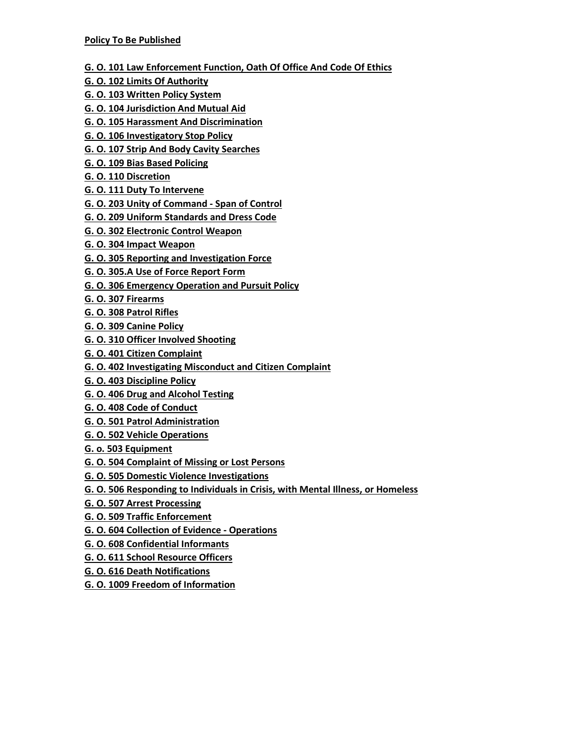- **G. O. 101 Law Enforcement Function, Oath Of Office And Code Of Ethics**
- **G. O. 102 Limits Of Authority**
- **G. O. 103 Written Policy System**
- **G. O. 104 Jurisdiction And Mutual Aid**
- **G. O. 105 Harassment And Discrimination**
- **G. O. 106 Investigatory Stop Policy**
- **G. O. 107 Strip And Body Cavity Searches**
- **G. O. 109 Bias Based Policing**
- **G. O. 110 Discretion**
- **G. O. 111 Duty To Intervene**
- **G. O. 203 Unity of Command - Span of Control**
- **G. O. 209 Uniform Standards and Dress Code**
- **G. O. 302 Electronic Control Weapon**
- **G. O. 304 Impact Weapon**
- **G. O. 305 Reporting and Investigation Force**
- **G. O. 305.A Use of Force Report Form**
- **G. O. 306 Emergency Operation and Pursuit Policy**
- **G. O. 307 Firearms**
- **G. O. 308 Patrol Rifles**
- **G. O. 309 Canine Policy**
- **G. O. 310 Officer Involved Shooting**
- **G. O. 401 Citizen Complaint**
- **G. O. 402 Investigating Misconduct and Citizen Complaint**
- **G. O. 403 Discipline Policy**
- **G. O. 406 Drug and Alcohol Testing**
- **G. O. 408 Code of Conduct**
- **G. O. 501 Patrol Administration**
- **G. O. 502 Vehicle Operations**
- **G. o. 503 Equipment**
- **G. O. 504 Complaint of Missing or Lost Persons**
- **G. O. 505 Domestic Violence Investigations**
- **G. O. 506 Responding to Individuals in Crisis, with Mental Illness, or Homeless**
- **G. O. 507 Arrest Processing**
- **G. O. 509 Traffic Enforcement**
- **G. O. 604 Collection of Evidence - Operations**
- **G. O. 608 Confidential Informants**
- **G. O. 611 School Resource Officers**
- **G. O. 616 Death Notifications**
- **G. O. 1009 Freedom of Information**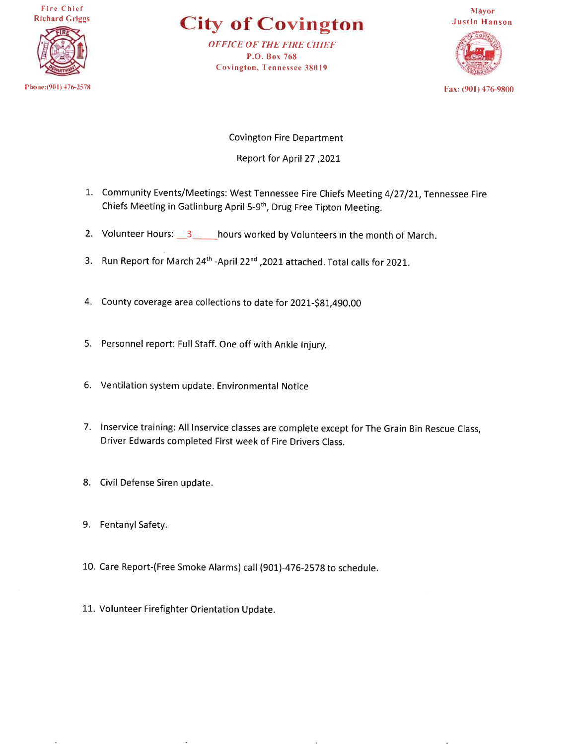**Fire Chief Richard Griggs** 



**City of Covington** 

**OFFICE OF THE FIRE CHIEF** P.O. Box 768 **Covington, Tennessee 38019** 



Fax: (901) 476-9800

**Covington Fire Department** 2021, Report for April 27

- 1. Community Events/Meetings: West Tennessee Fire Chiefs Meeting 4/27/21, Tennessee Fire Chiefs Meeting in Gatlinburg April 5-9<sup>th</sup>, Drug Free Tipton Meeting.
- 2. Volunteer Hours: 3 hours worked by Volunteers in the month of March.
- 3. Run Report for March 24<sup>th</sup> -April 22<sup>nd</sup>, 2021 attached. Total calls for 2021.
- 4. County coverage area collections to date for 2021-\$81,490.00
- 5. Personnel report: Full Staff. One off with Ankle Injury.
- 6. Ventilation system update. Environmental Notice
- 7. Inservice training: All Inservice classes are complete except for The Grain Bin Rescue Class, Driver Edwards completed First week of Fire Drivers Class.
- 8. Civil Defense Siren update.
- 9. Fentanyl Safety.
- 10. Care Report-(Free Smoke Alarms) call (901)-476-2578 to schedule.
- 11. Volunteer Firefighter Orientation Update.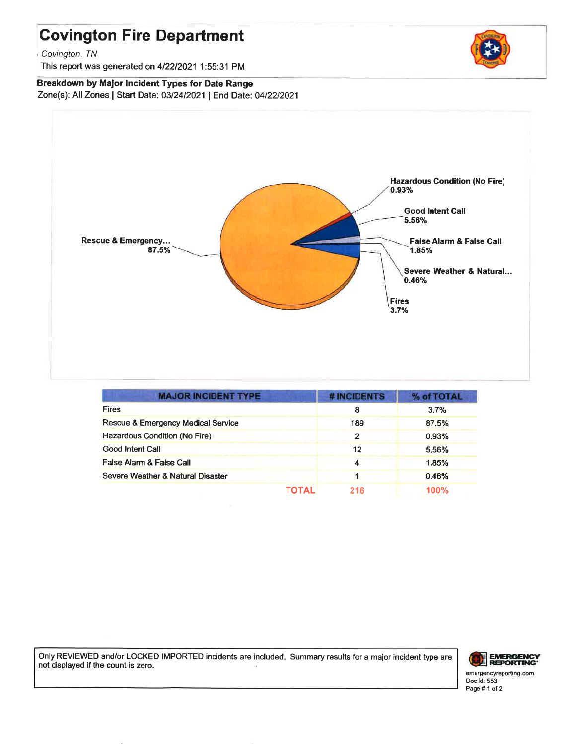# **Covington Fire Department**

Covington, TN

This report was generated on 4/22/2021 1:55:31 PM

**Breakdown by Major Incident Types for Date Range** Zone(s): All Zones | Start Date: 03/24/2021 | End Date: 04/22/2021



| <b>MAJOR INCIDENT TYPE</b>          | # INCIDENTS    | % of TOTAL |
|-------------------------------------|----------------|------------|
| <b>Fires</b>                        | 8              | 3.7%       |
| Rescue & Emergency Medical Service  | 189            | 87.5%      |
| Hazardous Condition (No Fire)       | $\overline{2}$ | 0.93%      |
| Good Intent Call                    | 12             | 5.56%      |
| <b>False Alarm &amp; False Call</b> | 4              | 1.85%      |
| Severe Weather & Natural Disaster   |                | 0.46%      |
| TOTAL                               | 216            | 100%       |

Only REVIEWED and/or LOCKED IMPORTED incidents are included. Summary results for a major incident type are not displayed if the count is zero.



emergencyreporting.com Doc Id: 553 Page #1 of 2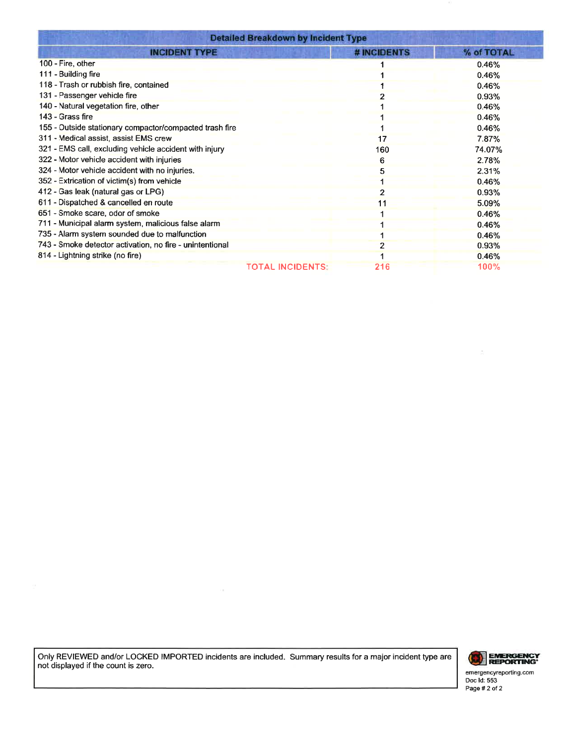| <b>Detailed Breakdown by Incident Type</b>               |             |            |  |
|----------------------------------------------------------|-------------|------------|--|
| <b>INCIDENT TYPE</b>                                     | # INCIDENTS | % of TOTAL |  |
| 100 - Fire, other                                        |             | 0.46%      |  |
| 111 - Building fire                                      |             | 0.46%      |  |
| 118 - Trash or rubbish fire, contained                   |             | 0.46%      |  |
| 131 - Passenger vehicle fire                             |             | 0.93%      |  |
| 140 - Natural vegetation fire, other                     |             | 0.46%      |  |
| 143 - Grass fire                                         |             | 0.46%      |  |
| 155 - Outside stationary compactor/compacted trash fire  |             | 0.46%      |  |
| 311 - Medical assist, assist EMS crew                    | 17          | 7.87%      |  |
| 321 - EMS call, excluding vehicle accident with injury   | 160         | 74.07%     |  |
| 322 - Motor vehicle accident with injuries               | 6           | 2.78%      |  |
| 324 - Motor vehicle accident with no injuries.           |             | 2.31%      |  |
| 352 - Extrication of victim(s) from vehicle              |             | 0.46%      |  |
| 412 - Gas leak (natural gas or LPG)                      |             | 0.93%      |  |
| 611 - Dispatched & cancelled en route                    |             | 5.09%      |  |
| 651 - Smoke scare, odor of smoke                         |             | 0.46%      |  |
| 711 - Municipal alarm system, malicious false alarm      |             | 0.46%      |  |
| 735 - Alarm system sounded due to malfunction            |             | 0.46%      |  |
| 743 - Smoke detector activation, no fire - unintentional |             | 0.93%      |  |
| 814 - Lightning strike (no fire)                         |             | 0.46%      |  |
| <b>TOTAL INCIDENTS:</b>                                  | 216         | 100%       |  |

Only REVIEWED and/or LOCKED IMPORTED incidents are included. Summary results for a major incident type are not displayed if the count is zero.



 $\frac{\partial}{\partial x}$ 

emergencyreporting.com<br>Doc Id: 553<br>Page # 2 of 2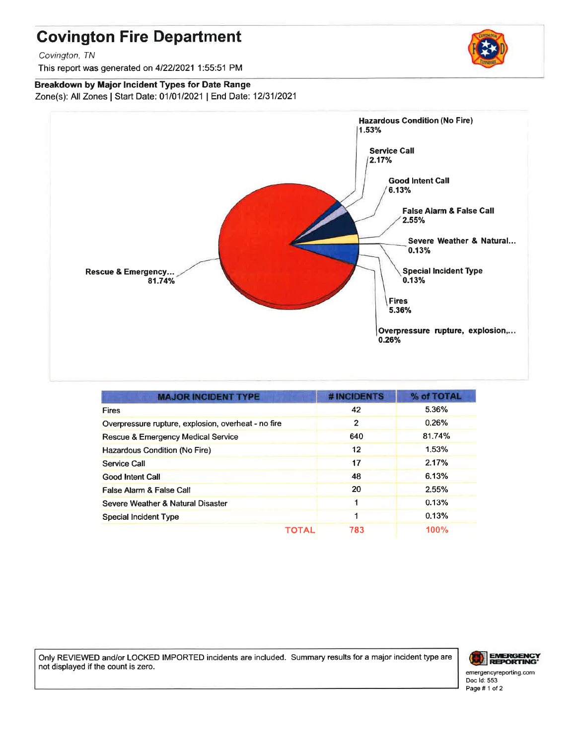# **Covington Fire Department**

Covington, TN

This report was generated on 4/22/2021 1:55:51 PM

Breakdown by Major Incident Types for Date Range Zone(s): All Zones | Start Date: 01/01/2021 | End Date: 12/31/2021



| <b>MAJOR INCIDENT TYPE</b>                          | # INCIDENTS | % of TOTAL |
|-----------------------------------------------------|-------------|------------|
| <b>Fires</b>                                        | 42          | 5.36%      |
| Overpressure rupture, explosion, overheat - no fire | 2           | 0.26%      |
| Rescue & Emergency Medical Service                  | 640         | 81.74%     |
| Hazardous Condition (No Fire)                       | 12          | 1.53%      |
| Service Call                                        | 17          | 2.17%      |
| <b>Good Intent Call</b>                             | 48          | 6.13%      |
| False Alarm & False Call                            | 20          | 2.55%      |
| Severe Weather & Natural Disaster                   |             | 0.13%      |
| <b>Special Incident Type</b>                        |             | 0.13%      |
| ΤΟΤΑL                                               | 783         | 100%       |

Only REVIEWED and/or LOCKED IMPORTED incidents are included. Summary results for a major incident type are not displayed if the count is zero.



emergencyreporting.com Doc Id: 553 Page #1 of 2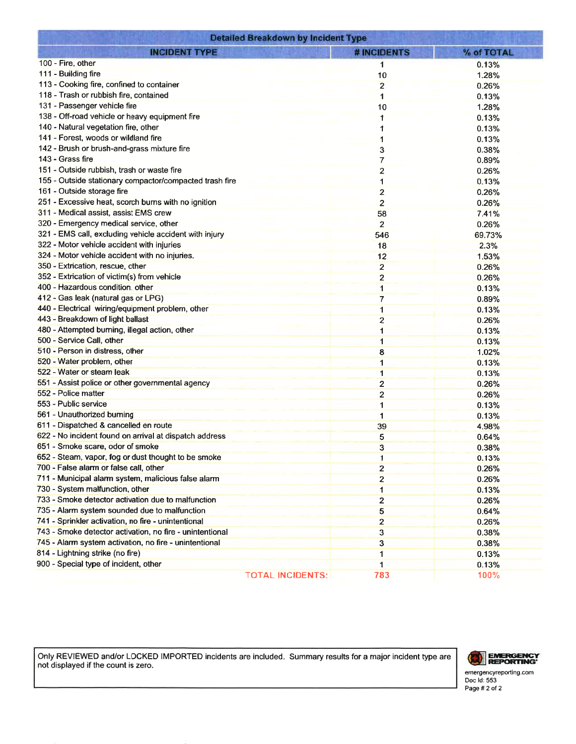| <b>Detailed Breakdown by Incident Type</b>               |                         |            |  |
|----------------------------------------------------------|-------------------------|------------|--|
| <b>INCIDENT TYPE</b>                                     | # INCIDENTS             | % of TOTAL |  |
| 100 - Fire, other                                        | 1                       | 0.13%      |  |
| 111 - Building fire                                      | 10                      | 1.28%      |  |
| 113 - Cooking fire, confined to container                | $\overline{2}$          | 0.26%      |  |
| 118 - Trash or rubbish fire, contained                   | 1                       | 0.13%      |  |
| 131 - Passenger vehicle fire                             | 10                      | 1.28%      |  |
| 138 - Off-road vehicle or heavy equipment fire           | 1                       | 0.13%      |  |
| 140 - Natural vegetation fire, other                     |                         | 0.13%      |  |
| 141 - Forest, woods or wildland fire                     |                         | 0.13%      |  |
| 142 - Brush or brush-and-grass mixture fire              | 3                       | 0.38%      |  |
| 143 - Grass fire                                         | 7                       | 0.89%      |  |
| 151 - Outside rubbish, trash or waste fire               | 2                       | 0.26%      |  |
| 155 - Outside stationary compactor/compacted trash fire  |                         | 0.13%      |  |
| 161 - Outside storage fire                               | 2                       | 0.26%      |  |
| 251 - Excessive heat, scorch burns with no ignition      | $\overline{2}$          | 0.26%      |  |
| 311 - Medical assist, assist EMS crew                    |                         | 7.41%      |  |
| 320 - Emergency medical service, other                   | 58                      |            |  |
| 321 - EMS call, excluding vehicle accident with injury   | $\overline{2}$          | 0.26%      |  |
| 322 - Motor vehicle accident with injuries               | 546                     | 69.73%     |  |
| 324 - Motor vehicle accident with no injuries.           | 18                      | 2.3%       |  |
| 350 - Extrication, rescue, other                         | 12                      | 1.53%      |  |
|                                                          | $\overline{\mathbf{2}}$ | 0.26%      |  |
| 352 - Extrication of victim(s) from vehicle              | $\overline{2}$          | 0.26%      |  |
| 400 - Hazardous condition, other                         | $\mathbf 1$             | 0.13%      |  |
| 412 - Gas leak (natural gas or LPG)                      | 7                       | 0.89%      |  |
| 440 - Electrical wiring/equipment problem, other         | 1                       | 0.13%      |  |
| 443 - Breakdown of light ballast                         | 2                       | 0.26%      |  |
| 480 - Attempted burning, illegal action, other           | $\blacksquare$          | 0.13%      |  |
| 500 - Service Call, other                                | $\mathbf{1}$            | 0.13%      |  |
| 510 - Person in distress, other                          | 8                       | 1.02%      |  |
| 520 - Water problem, other                               | $\mathbf{1}$            | 0.13%      |  |
| 522 - Water or steam leak                                | 1                       | 0.13%      |  |
| 551 - Assist police or other governmental agency         | $\overline{2}$          | 0.26%      |  |
| 552 - Police matter                                      | $\overline{\mathbf{c}}$ | 0.26%      |  |
| 553 - Public service                                     | 1                       | 0.13%      |  |
| 561 - Unauthorized burning                               | 1                       | 0.13%      |  |
| 611 - Dispatched & cancelled en route                    | 39                      | 4.98%      |  |
| 622 - No incident found on arrival at dispatch address   | 5                       | 0.64%      |  |
| 651 - Smoke scare, odor of smoke                         | 3                       | 0.38%      |  |
| 652 - Steam, vapor, fog or dust thought to be smoke      | 1                       | 0.13%      |  |
| 700 - False alarm or false call, other                   | $\overline{2}$          | 0.26%      |  |
| 711 - Municipal alarm system, malicious false alarm      | 2                       | 0.26%      |  |
| 730 - System malfunction, other                          | 1                       | 0.13%      |  |
| 733 - Smoke detector activation due to malfunction       | 2                       | 0.26%      |  |
| 735 - Alarm system sounded due to malfunction            | 5                       | 0.64%      |  |
| 741 - Sprinkler activation, no fire - unintentional      | $\overline{2}$          | 0.26%      |  |
| 743 - Smoke detector activation, no fire - unintentional | $\overline{3}$          | 0.38%      |  |
| 745 - Alarm system activation, no fire - unintentional   | 3                       | 0.38%      |  |
| 814 - Lightning strike (no fire)                         | 1                       | 0.13%      |  |
| 900 - Special type of incident, other                    | 1                       | 0.13%      |  |
| TOTAL INCIDENTS:                                         | 783                     | 100%       |  |

Only REVIEWED and/or LOCKED IMPORTED incidents are included. Summary results for a major incident type are not displayed if the count is zero.



emergencyreporting.com<br>Doc Id: 553<br>Page # 2 of 2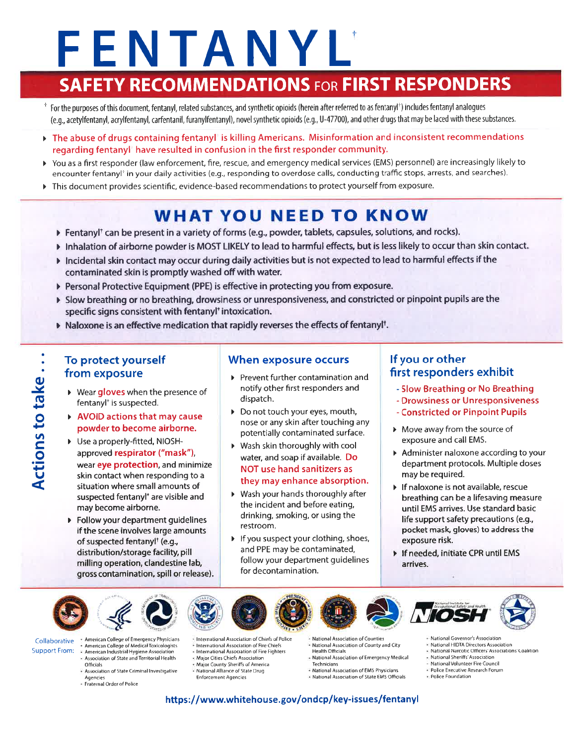# FENTANYL

# **SAFETY RECOMMENDATIONS FOR FIRST RESPONDERS**

- <sup>†</sup> For the purposes of this document, fentanyl, related substances, and synthetic opioids (herein after referred to as fentanyl<sup>†</sup>) includes fentanyl analogues (e.g., acetylfentanyl, acrylfentanyl, carfentanil, furanylfentanyl), novel synthetic opioids (e.g., U-47700), and other drugs that may be laced with these substances.
- $\triangleright$  The abuse of drugs containing fentanyl' is killing Americans. Misinformation and inconsistent recommendations regarding fentanyl' have resulted in confusion in the first responder community.
- > You as a first responder (law enforcement, fire, rescue, and emergency medical services (EMS) personnel) are increasingly likely to encounter fentanyl<sup>\*</sup> in your daily activities (e.g., responding to overdose calls, conducting traffic stops, arrests, and searches).
- This document provides scientific, evidence-based recommendations to protect yourself from exposure. Þ.

# **WHAT YOU NEED TO KNOW**

- Fentanyl<sup>†</sup> can be present in a variety of forms (e.g., powder, tablets, capsules, solutions, and rocks).
- Inhalation of airborne powder is MOST LIKELY to lead to harmful effects, but is less likely to occur than skin contact.
- Incidental skin contact may occur during daily activities but is not expected to lead to harmful effects if the contaminated skin is promptly washed off with water.
- Personal Protective Equipment (PPE) is effective in protecting you from exposure.
- If Slow breathing or no breathing, drowsiness or unresponsiveness, and constricted or pinpoint pupils are the specific signs consistent with fentanyl<sup>+</sup> intoxication.
- > Naloxone is an effective medication that rapidly reverses the effects of fentanyl<sup>†</sup>.

# To protect yourself from exposure

- ▶ Wear gloves when the presence of fentanyl<sup>+</sup> is suspected.
- AVOID actions that may cause powder to become airborne.
- Use a properly-fitted, NIOSHapproved respirator ("mask"), wear eye protection, and minimize skin contact when responding to a situation where small amounts of suspected fentanyl<sup>+</sup> are visible and may become airborne.
- ▶ Follow your department quidelines if the scene involves large amounts of suspected fentanyl<sup>†</sup> (e.g., distribution/storage facility, pill milling operation, clandestine lab, gross contamination, spill or release).

# When exposure occurs

- Prevent further contamination and notify other first responders and dispatch.
- Do not touch your eyes, mouth, nose or any skin after touching any potentially contaminated surface.
- ▶ Wash skin thoroughly with cool water, and soap if available. Do **NOT use hand sanitizers as** they may enhance absorption.
- ▶ Wash your hands thoroughly after the incident and before eating, drinking, smoking, or using the restroom.
- If you suspect your clothing, shoes, and PPE may be contaminated, follow your department quidelines for decontamination.

# If you or other first responders exhibit

- Slow Breathing or No Breathing
- Drowsiness or Unresponsiveness
- Constricted or Pinpoint Pupils
- > Move away from the source of exposure and call EMS.
- Administer naloxone according to your department protocols. Multiple doses may be required.
- If naloxone is not available, rescue breathing can be a lifesaving measure until EMS arrives. Use standard basic life support safety precautions (e.g., pocket mask, gloves) to address the exposure risk.
- If needed, initiate CPR until EMS arrives.



- Collaborative - American College of Medical Toxicologists **Support From:** 
	- American Industrial Hygiene Association - Association of State and Territorial Health
	- Officials - Association of State Criminal Investigative
	- Agencies
	- · Fraternal Order of Police
- International Association of Chiefs of Police International Association of Fire Chiefs
- International Association of Fire Fighters
- · Major Cities Chiefs Association
- Major County Sheriffs of America
- National Alliance of State Drug **Enforcement Agencies**
- National Association of Counties National Association of County and City **Health Officials**
- National Association of Emergency Medical
- Technicians - National Association of EMS Physicians
- R National Association of State EMS Officials
- National HIDTA Directors Association
- National Narcotic Officers' Associations' Coalition
- National Sheriffs' Association
- National Volunteer Fire Council - Police Executive Research Forum
- · Police Foundation
- https://www.whitehouse.gov/ondcp/key-issues/fentanyl

Actions to take ..